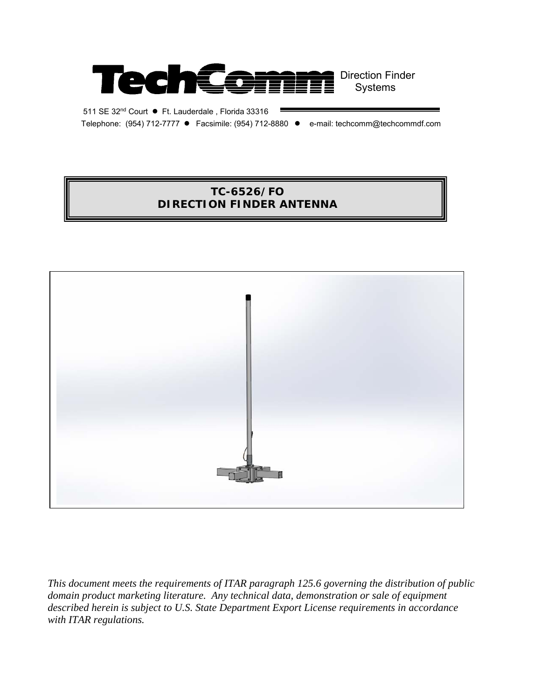

511 SE 32nd Court ● Ft. Lauderdale , Florida 33316 Telephone: (954) 712-7777 ● Facsimile: (954) 712-8880 ● e-mail: techcomm@techcommdf.com

# **TC-6526/FO DIRECTION FINDER ANTENNA**



*This document meets the requirements of ITAR paragraph 125.6 governing the distribution of public domain product marketing literature. Any technical data, demonstration or sale of equipment described herein is subject to U.S. State Department Export License requirements in accordance with ITAR regulations.*